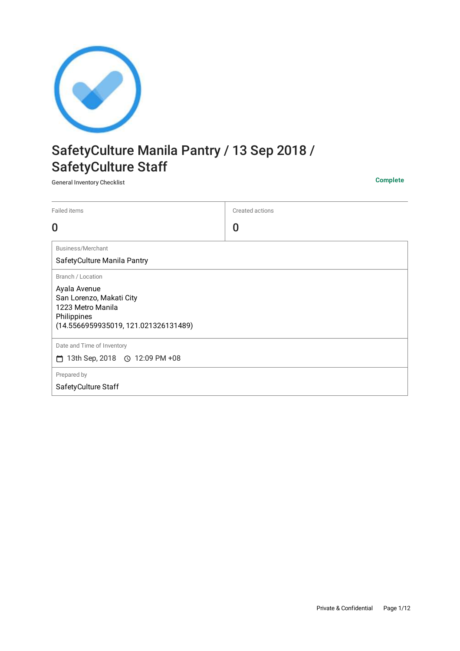

# SafetyCulture Manila Pantry / 13 Sep 2018 / SafetyCulture Staff

General Inventory Checklist **Complete**

| Failed items                                                                                                                              | Created actions |
|-------------------------------------------------------------------------------------------------------------------------------------------|-----------------|
| 0                                                                                                                                         | 0               |
| Business/Merchant<br>SafetyCulture Manila Pantry                                                                                          |                 |
| Branch / Location<br>Ayala Avenue<br>San Lorenzo, Makati City<br>1223 Metro Manila<br>Philippines<br>(14.5566959935019, 121.021326131489) |                 |
| Date and Time of Inventory<br>⊓                                                                                                           |                 |
| Prepared by<br>SafetyCulture Staff                                                                                                        |                 |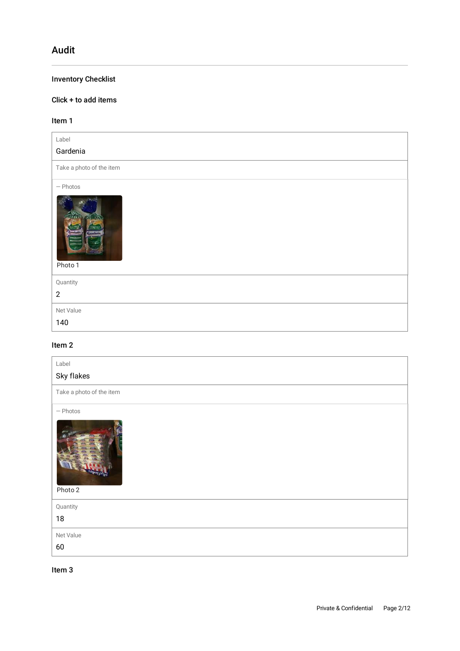# Audit

# Inventory Checklist

# Click + to add items

## Item 1

| Label<br>Gardenia                                |
|--------------------------------------------------|
| Take a photo of the item                         |
| $-$ Photos<br>71 I.N<br><b>Higher</b><br>Photo 1 |
| Quantity<br>$\mathbf{2}$                         |
| Net Value<br>140                                 |

# Item 2

| Label<br>Sky flakes      |
|--------------------------|
| Take a photo of the item |
| $-$ Photos<br>Photo 2    |
| Quantity                 |
| $18\,$                   |
| Net Value                |
| 60                       |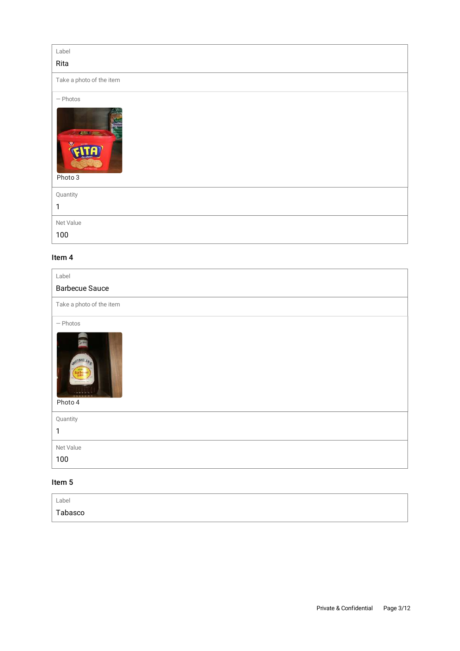| Label                                       |
|---------------------------------------------|
| Rita                                        |
| Take a photo of the item                    |
| $-$ Photos<br><b>CERTIFICATE</b><br>Photo 3 |
| Quantity                                    |
| 1                                           |
| Net Value                                   |
| 100                                         |

#### Item 4

| Label<br><b>Barbecue Sauce</b>               |
|----------------------------------------------|
| Take a photo of the item                     |
| $-$ Photos<br><b>STETBALL RAD</b><br>Photo 4 |
| Quantity                                     |
| $\mathbf{1}$                                 |
| Net Value                                    |
| 100                                          |

| Label   |  |
|---------|--|
| Tabasco |  |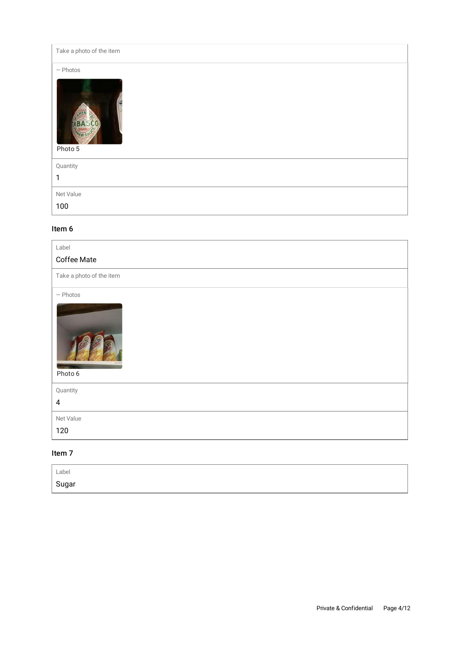Take a photo of the item — Photos HE **ABASCO** Photo 5 Quantity 1 Net Value 100

#### Item 6

| Label                    |
|--------------------------|
| Coffee Mate              |
| Take a photo of the item |
| $-$ Photos<br>Photo 6    |
| Quantity                 |
| $\pmb{4}$                |
| Net Value                |
| 120                      |

| Label              |  |  |
|--------------------|--|--|
| <sub>i</sub> Sugar |  |  |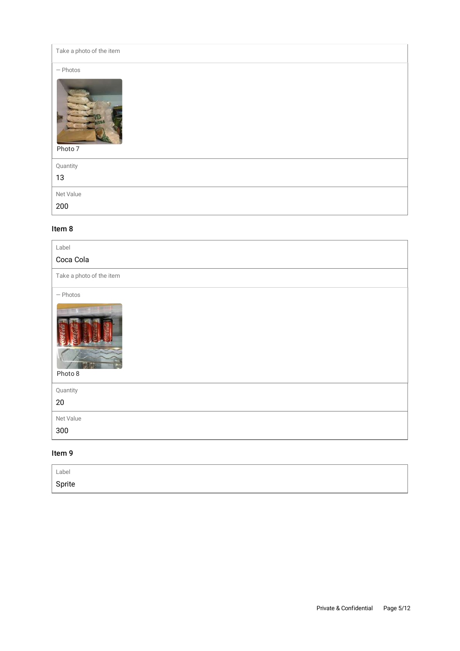Take a photo of the item

— Photos

| . |  |
|---|--|
|   |  |
|   |  |
|   |  |
|   |  |
|   |  |
|   |  |
|   |  |
|   |  |

# Photo 7

| Quantity  |  |
|-----------|--|
| 13        |  |
| Net Value |  |
| 200       |  |

#### Item 8

| Label                                                  |
|--------------------------------------------------------|
| Coca Cola                                              |
| Take a photo of the item                               |
| $-$ Photos<br>$\mathbf{1}$ and $\mathbf{1}$<br>Photo 8 |
| Quantity                                               |
| 20                                                     |
| Net Value                                              |
| 300                                                    |
|                                                        |

| Label  |  |
|--------|--|
| Sprite |  |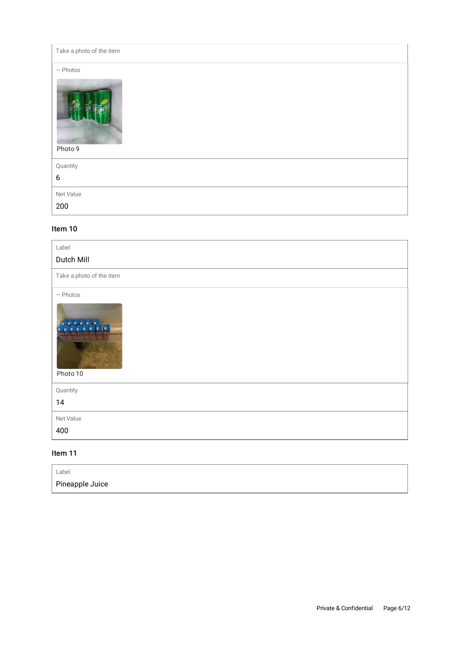| Take a photo of the item |
|--------------------------|
| $-$ Photos               |
| Photo 9                  |
| Quantity                 |
| $\boldsymbol{6}$         |
| Net Value                |
| 200                      |

#### Item 10

| Label                    |
|--------------------------|
| Dutch Mill               |
| Take a photo of the item |
| $-$ Photos<br>Photo 10   |
| Quantity                 |
| 14                       |
| Net Value                |
| 400                      |

| Label           |  |
|-----------------|--|
| Pineapple Juice |  |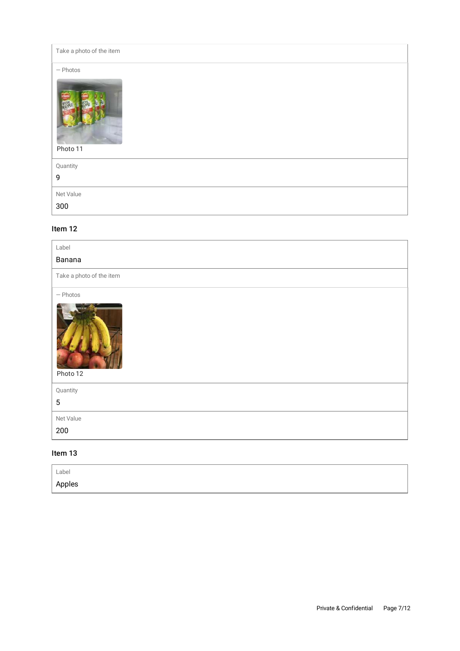| Take a photo of the item               |
|----------------------------------------|
| $-$ Photos<br><b>POWLE</b><br>Photo 11 |
| Quantity<br>9                          |
| Net Value                              |
| 300                                    |

#### Item 12

| Label                    |
|--------------------------|
| Banana                   |
| Take a photo of the item |
| $-$ Photos<br>Photo 12   |
| Quantity                 |
| $\overline{5}$           |
| Net Value                |
| 200                      |

| Label  |  |
|--------|--|
| Apples |  |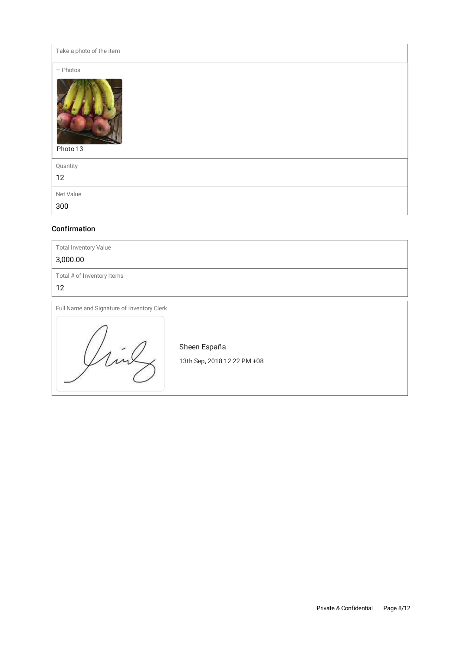Take a photo of the item

— Photos

| $\cdots$<br>Photo 13 |  |  |
|----------------------|--|--|
| Quantity             |  |  |
| 12                   |  |  |
| Net Value            |  |  |
| 300                  |  |  |

#### Confirmation

| <b>Total Inventory Value</b><br>3,000.00   |                                             |
|--------------------------------------------|---------------------------------------------|
| Total # of Inventory Items<br>12           |                                             |
| Full Name and Signature of Inventory Clerk | Sheen España<br>13th Sep, 2018 12:22 PM +08 |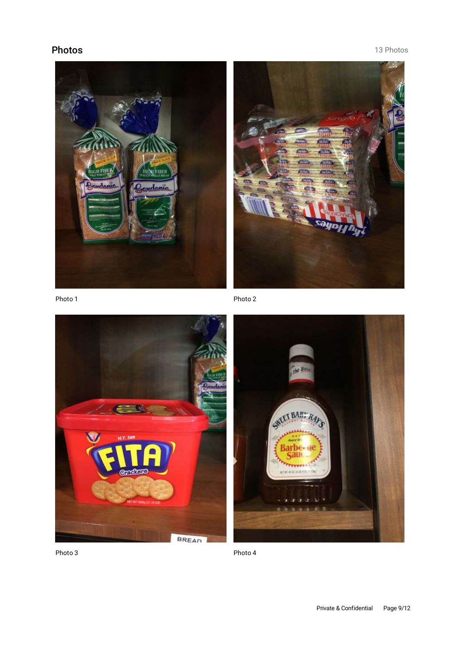# Photos **13 Photos 13 Photos**





Photo 1

Photo 2





Photo 4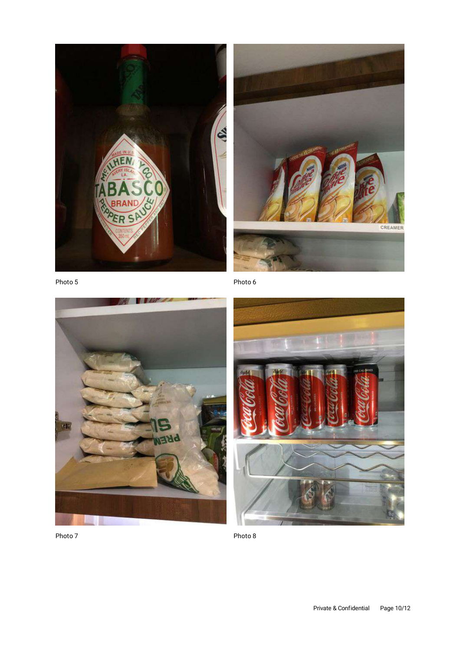



Photo 5

Photo 6





Photo 8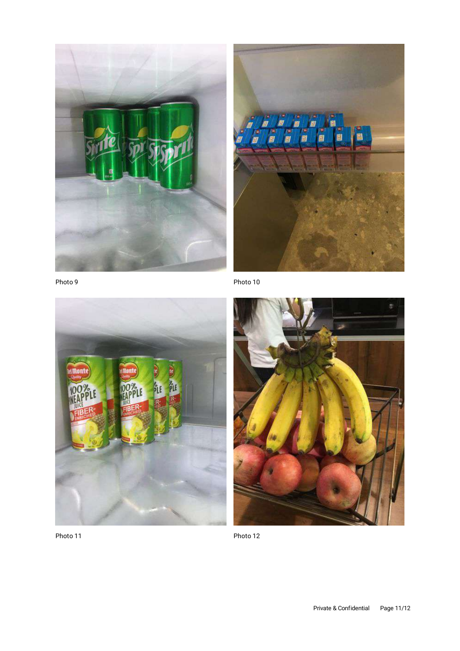



Photo 9

difficut ήį



Photo 12